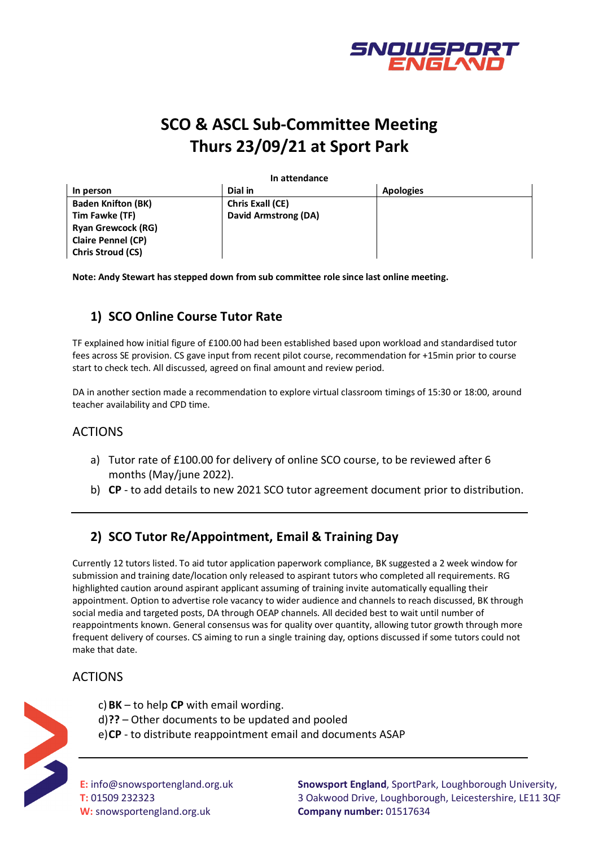

# **SCO & ASCL Sub-Committee Meeting Thurs 23/09/21 at Sport Park**

**In attendance**

| In person                 | Dial in                 | <b>Apologies</b> |
|---------------------------|-------------------------|------------------|
| <b>Baden Knifton (BK)</b> | <b>Chris Exall (CE)</b> |                  |
| Tim Fawke (TF)            | David Armstrong (DA)    |                  |
| <b>Ryan Grewcock (RG)</b> |                         |                  |
| <b>Claire Pennel (CP)</b> |                         |                  |
| <b>Chris Stroud (CS)</b>  |                         |                  |

**Note: Andy Stewart has stepped down from sub committee role since last online meeting.**

# **1) SCO Online Course Tutor Rate**

TF explained how initial figure of £100.00 had been established based upon workload and standardised tutor fees across SE provision. CS gave input from recent pilot course, recommendation for +15min prior to course start to check tech. All discussed, agreed on final amount and review period.

DA in another section made a recommendation to explore virtual classroom timings of 15:30 or 18:00, around teacher availability and CPD time.

#### ACTIONS

- a) Tutor rate of £100.00 for delivery of online SCO course, to be reviewed after 6 months (May/june 2022).
- b) **CP** to add details to new 2021 SCO tutor agreement document prior to distribution.

## **2) SCO Tutor Re/Appointment, Email & Training Day**

Currently 12 tutors listed. To aid tutor application paperwork compliance, BK suggested a 2 week window for submission and training date/location only released to aspirant tutors who completed all requirements. RG highlighted caution around aspirant applicant assuming of training invite automatically equalling their appointment. Option to advertise role vacancy to wider audience and channels to reach discussed, BK through social media and targeted posts, DA through OEAP channels. All decided best to wait until number of reappointments known. General consensus was for quality over quantity, allowing tutor growth through more frequent delivery of courses. CS aiming to run a single training day, options discussed if some tutors could not make that date.

## ACTIONS

c)**BK** – to help **CP** with email wording.

- d)**??** Other documents to be updated and pooled
- e)**CP** to distribute reappointment email and documents ASAP



**E:** info@snowsportengland.org.uk **T:** 01509 232323 **W:** snowsportengland.org.uk

**Snowsport England**, SportPark, Loughborough University, 3 Oakwood Drive, Loughborough, Leicestershire, LE11 3QF **Company number:** 01517634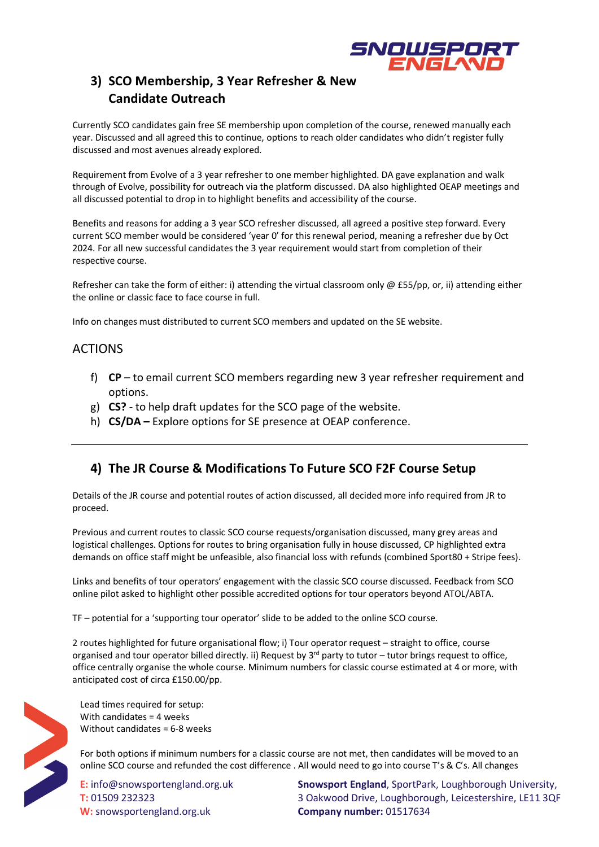

## **3) SCO Membership, 3 Year Refresher & New Candidate Outreach**

Currently SCO candidates gain free SE membership upon completion of the course, renewed manually each year. Discussed and all agreed this to continue, options to reach older candidates who didn't register fully discussed and most avenues already explored.

Requirement from Evolve of a 3 year refresher to one member highlighted. DA gave explanation and walk through of Evolve, possibility for outreach via the platform discussed. DA also highlighted OEAP meetings and all discussed potential to drop in to highlight benefits and accessibility of the course.

Benefits and reasons for adding a 3 year SCO refresher discussed, all agreed a positive step forward. Every current SCO member would be considered 'year 0' for this renewal period, meaning a refresher due by Oct 2024. For all new successful candidates the 3 year requirement would start from completion of their respective course.

Refresher can take the form of either: i) attending the virtual classroom only  $\omega$  £55/pp, or, ii) attending either the online or classic face to face course in full.

Info on changes must distributed to current SCO members and updated on the SE website.

#### ACTIONS

- f) **CP** to email current SCO members regarding new 3 year refresher requirement and options.
- g) **CS?** to help draft updates for the SCO page of the website.
- h) **CS/DA –** Explore options for SE presence at OEAP conference.

#### **4) The JR Course & Modifications To Future SCO F2F Course Setup**

Details of the JR course and potential routes of action discussed, all decided more info required from JR to proceed.

Previous and current routes to classic SCO course requests/organisation discussed, many grey areas and logistical challenges. Options for routes to bring organisation fully in house discussed, CP highlighted extra demands on office staff might be unfeasible, also financial loss with refunds (combined Sport80 + Stripe fees).

Links and benefits of tour operators' engagement with the classic SCO course discussed. Feedback from SCO online pilot asked to highlight other possible accredited options for tour operators beyond ATOL/ABTA.

TF – potential for a 'supporting tour operator' slide to be added to the online SCO course.

2 routes highlighted for future organisational flow; i) Tour operator request – straight to office, course organised and tour operator billed directly. ii) Request by  $3^{rd}$  party to tutor – tutor brings request to office, office centrally organise the whole course. Minimum numbers for classic course estimated at 4 or more, with anticipated cost of circa £150.00/pp.



Lead times required for setup: With candidates = 4 weeks Without candidates = 6-8 weeks

For both options if minimum numbers for a classic course are not met, then candidates will be moved to an online SCO course and refunded the cost difference . All would need to go into course T's & C's. All changes

**E:** info@snowsportengland.org.uk **T:** 01509 232323 **W:** snowsportengland.org.uk

**Snowsport England**, SportPark, Loughborough University, 3 Oakwood Drive, Loughborough, Leicestershire, LE11 3QF **Company number:** 01517634